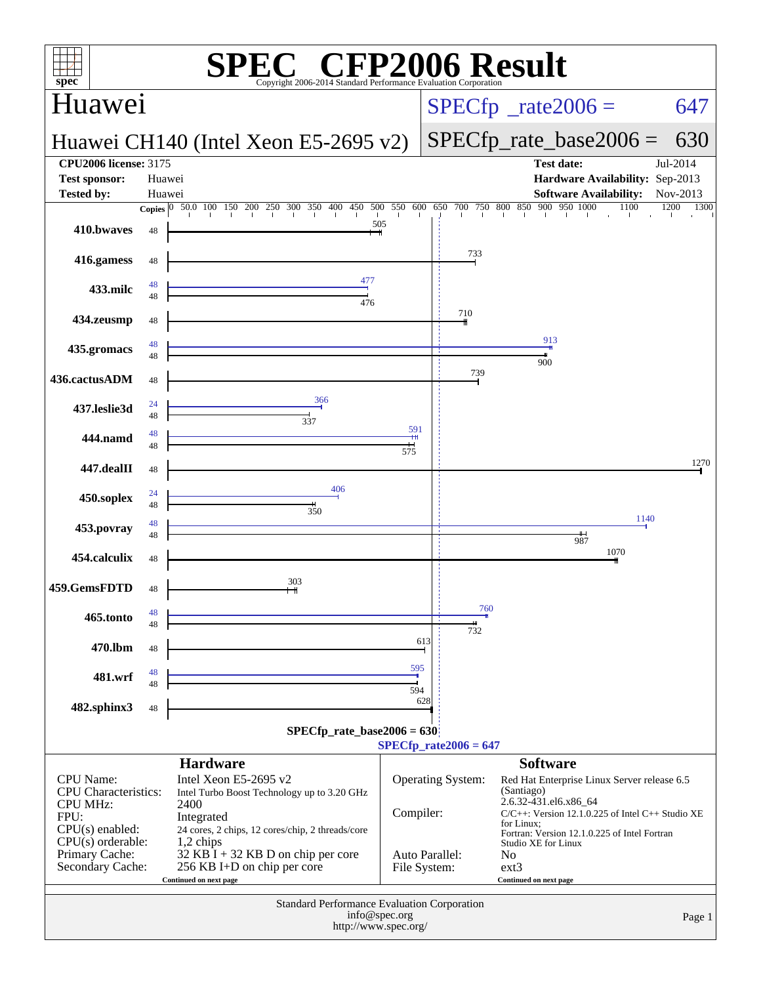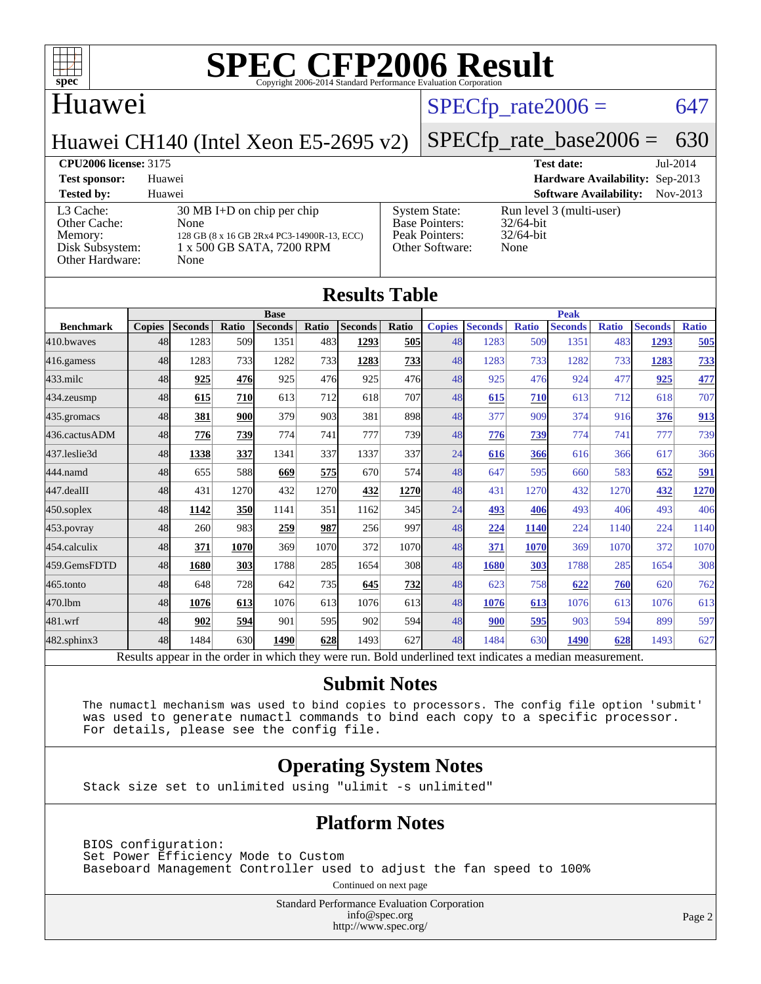

### Huawei

#### $SPECTp\_rate2006 = 647$

Huawei CH140 (Intel Xeon E5-2695 v2)

# [SPECfp\\_rate\\_base2006 =](http://www.spec.org/auto/cpu2006/Docs/result-fields.html#SPECfpratebase2006) 630

#### **[CPU2006 license:](http://www.spec.org/auto/cpu2006/Docs/result-fields.html#CPU2006license)** 3175 **[Test date:](http://www.spec.org/auto/cpu2006/Docs/result-fields.html#Testdate)** Jul-2014

**[Test sponsor:](http://www.spec.org/auto/cpu2006/Docs/result-fields.html#Testsponsor)** Huawei **[Hardware Availability:](http://www.spec.org/auto/cpu2006/Docs/result-fields.html#HardwareAvailability)** Sep-2013 **[Tested by:](http://www.spec.org/auto/cpu2006/Docs/result-fields.html#Testedby)** Huawei **[Software Availability:](http://www.spec.org/auto/cpu2006/Docs/result-fields.html#SoftwareAvailability)** Nov-2013 [L3 Cache:](http://www.spec.org/auto/cpu2006/Docs/result-fields.html#L3Cache) 30 MB I+D on chip per chip<br>Other Cache: None [Other Cache:](http://www.spec.org/auto/cpu2006/Docs/result-fields.html#OtherCache) [Memory:](http://www.spec.org/auto/cpu2006/Docs/result-fields.html#Memory) 128 GB (8 x 16 GB 2Rx4 PC3-14900R-13, ECC) [Disk Subsystem:](http://www.spec.org/auto/cpu2006/Docs/result-fields.html#DiskSubsystem) 1 x 500 GB SATA, 7200 RPM [Other Hardware:](http://www.spec.org/auto/cpu2006/Docs/result-fields.html#OtherHardware) None [System State:](http://www.spec.org/auto/cpu2006/Docs/result-fields.html#SystemState) Run level 3 (multi-user)<br>Base Pointers: 32/64-bit [Base Pointers:](http://www.spec.org/auto/cpu2006/Docs/result-fields.html#BasePointers) [Peak Pointers:](http://www.spec.org/auto/cpu2006/Docs/result-fields.html#PeakPointers) 32/64-bit [Other Software:](http://www.spec.org/auto/cpu2006/Docs/result-fields.html#OtherSoftware) None

| <b>Results Table</b> |               |                |             |                |       |                |              |               |                |              |                                                                                                          |              |                |              |
|----------------------|---------------|----------------|-------------|----------------|-------|----------------|--------------|---------------|----------------|--------------|----------------------------------------------------------------------------------------------------------|--------------|----------------|--------------|
|                      | <b>Base</b>   |                |             |                |       | <b>Peak</b>    |              |               |                |              |                                                                                                          |              |                |              |
| <b>Benchmark</b>     | <b>Copies</b> | <b>Seconds</b> | Ratio       | <b>Seconds</b> | Ratio | <b>Seconds</b> | <b>Ratio</b> | <b>Copies</b> | <b>Seconds</b> | <b>Ratio</b> | <b>Seconds</b>                                                                                           | <b>Ratio</b> | <b>Seconds</b> | <b>Ratio</b> |
| 410.bwayes           | 48            | 1283           | 509         | 1351           | 483   | 1293           | 505          | 48            | 1283           | 509          | 1351                                                                                                     | 483          | 1293           | 505          |
| 416.gamess           | 48            | 1283           | 733         | 1282           | 733   | 1283           | 733          | 48            | 1283           | 733          | 1282                                                                                                     | 733          | 1283           | <u>733</u>   |
| $433$ .milc          | 48            | 925            | 476         | 925            | 476   | 925            | 476          | 48            | 925            | 476          | 924                                                                                                      | 477          | 925            | 477          |
| 434.zeusmp           | 48            | 615            | 710         | 613            | 712   | 618            | 707          | 48            | 615            | 710          | 613                                                                                                      | 712          | 618            | 707          |
| 435.gromacs          | 48            | 381            | 900         | 379            | 903   | 381            | 898          | 48            | 377            | 909          | 374                                                                                                      | 916          | 376            | 913          |
| 436.cactusADM        | 48            | 776            | 739         | 774            | 741   | 777            | 739          | 48            | 776            | 739          | 774                                                                                                      | 741          | 777            | 739          |
| 437.leslie3d         | 48            | 1338           | 337         | 1341           | 337   | 1337           | 337          | 24            | 616            | 366          | 616                                                                                                      | 366          | 617            | 366          |
| 444.namd             | 48            | 655            | 588         | 669            | 575   | 670            | 574          | 48            | 647            | 595          | 660                                                                                                      | 583          | 652            | 591          |
| 447.dealII           | 48            | 431            | 1270        | 432            | 1270  | 432            | 1270         | 48            | 431            | 1270         | 432                                                                                                      | 1270         | 432            | 1270         |
| 450.soplex           | 48            | 1142           | 350         | 1141           | 351   | 1162           | 345          | 24            | 493            | 406          | 493                                                                                                      | 406          | 493            | 406          |
| 453.povray           | 48            | 260            | 983         | 259            | 987   | 256            | 997          | 48            | 224            | 1140         | 224                                                                                                      | 1140         | 224            | 1140         |
| 454.calculix         | 48            | 371            | <b>1070</b> | 369            | 1070  | 372            | 1070         | 48            | 371            | 1070         | 369                                                                                                      | 1070         | 372            | 1070         |
| 459.GemsFDTD         | 48            | 1680           | 303         | 1788           | 285   | 1654           | 308          | 48            | 1680           | 303          | 1788                                                                                                     | 285          | 1654           | 308          |
| 465.tonto            | 48            | 648            | 728         | 642            | 735   | 645            | 732          | 48            | 623            | 758          | 622                                                                                                      | 760          | 620            | 762          |
| 470.1bm              | 48            | 1076           | 613         | 1076           | 613   | 1076           | 613          | 48            | 1076           | 613          | 1076                                                                                                     | 613          | 1076           | 613          |
| 481.wrf              | 48            | 902            | 594         | 901            | 595   | 902            | 594          | 48            | 900            | 595          | 903                                                                                                      | 594          | 899            | 597          |
| 482.sphinx3          | 48            | 1484           | 630         | 1490           | 628   | 1493           | 627          | 48            | 1484           | 630          | 1490                                                                                                     | 628          | 1493           | 627          |
|                      |               |                |             |                |       |                |              |               |                |              | Results appear in the order in which they were run. Bold underlined text indicates a median measurement. |              |                |              |

#### **[Submit Notes](http://www.spec.org/auto/cpu2006/Docs/result-fields.html#SubmitNotes)**

 The numactl mechanism was used to bind copies to processors. The config file option 'submit' was used to generate numactl commands to bind each copy to a specific processor. For details, please see the config file.

#### **[Operating System Notes](http://www.spec.org/auto/cpu2006/Docs/result-fields.html#OperatingSystemNotes)**

Stack size set to unlimited using "ulimit -s unlimited"

#### **[Platform Notes](http://www.spec.org/auto/cpu2006/Docs/result-fields.html#PlatformNotes)**

 BIOS configuration: Set Power Efficiency Mode to Custom Baseboard Management Controller used to adjust the fan speed to 100%

Continued on next page

Standard Performance Evaluation Corporation [info@spec.org](mailto:info@spec.org) <http://www.spec.org/>

Page 2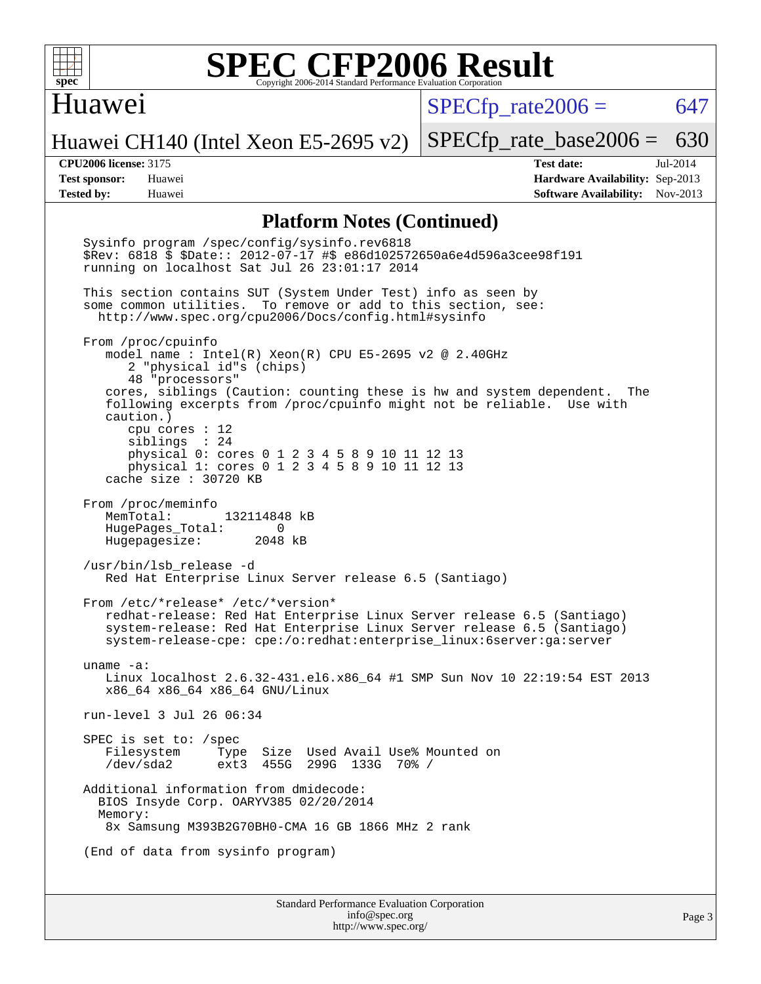

#### Huawei

 $SPECTp\_rate2006 = 647$ 

Huawei CH140 (Intel Xeon E5-2695 v2)

[SPECfp\\_rate\\_base2006 =](http://www.spec.org/auto/cpu2006/Docs/result-fields.html#SPECfpratebase2006) 630

**[CPU2006 license:](http://www.spec.org/auto/cpu2006/Docs/result-fields.html#CPU2006license)** 3175 **[Test date:](http://www.spec.org/auto/cpu2006/Docs/result-fields.html#Testdate)** Jul-2014 **[Test sponsor:](http://www.spec.org/auto/cpu2006/Docs/result-fields.html#Testsponsor)** Huawei **[Hardware Availability:](http://www.spec.org/auto/cpu2006/Docs/result-fields.html#HardwareAvailability)** Sep-2013 **[Tested by:](http://www.spec.org/auto/cpu2006/Docs/result-fields.html#Testedby)** Huawei **[Software Availability:](http://www.spec.org/auto/cpu2006/Docs/result-fields.html#SoftwareAvailability)** Nov-2013

#### **[Platform Notes \(Continued\)](http://www.spec.org/auto/cpu2006/Docs/result-fields.html#PlatformNotes)**

 Sysinfo program /spec/config/sysinfo.rev6818 \$Rev: 6818 \$ \$Date:: 2012-07-17 #\$ e86d102572650a6e4d596a3cee98f191 running on localhost Sat Jul 26 23:01:17 2014 This section contains SUT (System Under Test) info as seen by some common utilities. To remove or add to this section, see: <http://www.spec.org/cpu2006/Docs/config.html#sysinfo> From /proc/cpuinfo model name : Intel(R) Xeon(R) CPU E5-2695 v2 @ 2.40GHz 2 "physical id"s (chips) 48 "processors" cores, siblings (Caution: counting these is hw and system dependent. The following excerpts from /proc/cpuinfo might not be reliable. Use with caution.) cpu cores : 12 siblings : 24 physical 0: cores 0 1 2 3 4 5 8 9 10 11 12 13 physical 1: cores 0 1 2 3 4 5 8 9 10 11 12 13 cache size : 30720 KB From /proc/meminfo MemTotal: 132114848 kB HugePages\_Total: 0<br>Hugepagesize: 2048 kB Hugepagesize: /usr/bin/lsb\_release -d Red Hat Enterprise Linux Server release 6.5 (Santiago) From /etc/\*release\* /etc/\*version\* redhat-release: Red Hat Enterprise Linux Server release 6.5 (Santiago) system-release: Red Hat Enterprise Linux Server release 6.5 (Santiago) system-release-cpe: cpe:/o:redhat:enterprise\_linux:6server:ga:server uname -a: Linux localhost 2.6.32-431.el6.x86\_64 #1 SMP Sun Nov 10 22:19:54 EST 2013 x86\_64 x86\_64 x86\_64 GNU/Linux run-level 3 Jul 26 06:34 SPEC is set to: /spec Filesystem Type Size Used Avail Use% Mounted on /dev/sda2 ext3 455G 299G 133G 70% / Additional information from dmidecode: BIOS Insyde Corp. OARYV385 02/20/2014 Memory: 8x Samsung M393B2G70BH0-CMA 16 GB 1866 MHz 2 rank (End of data from sysinfo program)

Standard Performance Evaluation Corporation [info@spec.org](mailto:info@spec.org) <http://www.spec.org/>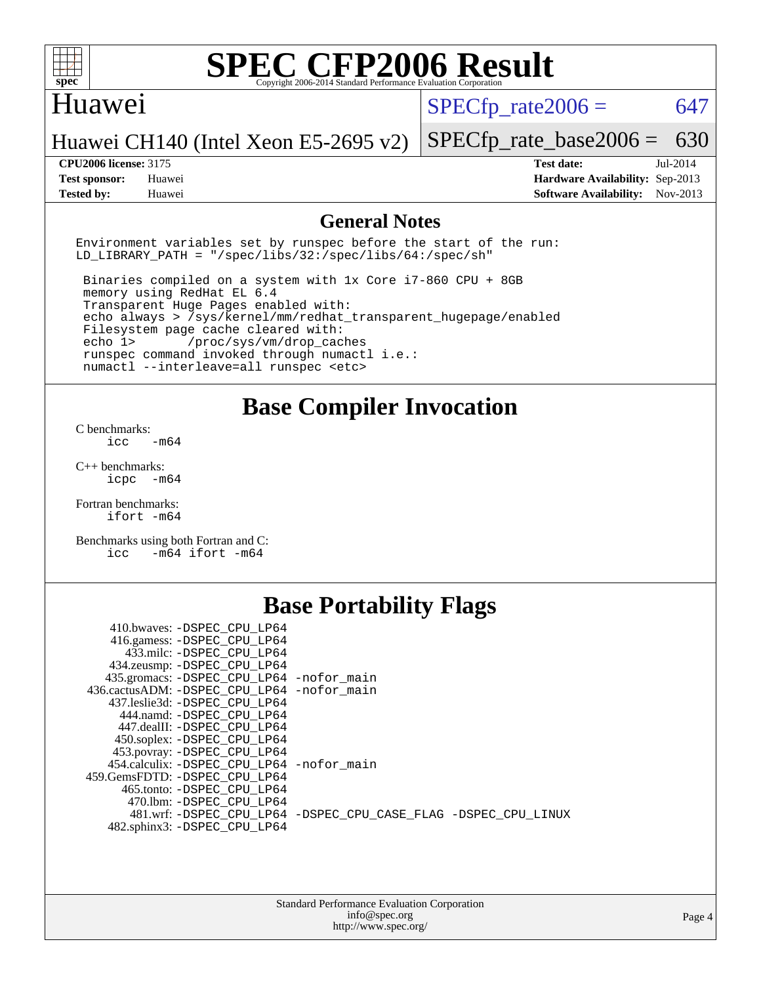

#### Huawei

 $SPECTp\_rate2006 = 647$ 

[SPECfp\\_rate\\_base2006 =](http://www.spec.org/auto/cpu2006/Docs/result-fields.html#SPECfpratebase2006) 630

Huawei CH140 (Intel Xeon E5-2695 v2)

**[Tested by:](http://www.spec.org/auto/cpu2006/Docs/result-fields.html#Testedby)** Huawei **[Software Availability:](http://www.spec.org/auto/cpu2006/Docs/result-fields.html#SoftwareAvailability)** Nov-2013

**[CPU2006 license:](http://www.spec.org/auto/cpu2006/Docs/result-fields.html#CPU2006license)** 3175 **[Test date:](http://www.spec.org/auto/cpu2006/Docs/result-fields.html#Testdate)** Jul-2014 **[Test sponsor:](http://www.spec.org/auto/cpu2006/Docs/result-fields.html#Testsponsor)** Huawei **[Hardware Availability:](http://www.spec.org/auto/cpu2006/Docs/result-fields.html#HardwareAvailability)** Sep-2013

#### **[General Notes](http://www.spec.org/auto/cpu2006/Docs/result-fields.html#GeneralNotes)**

Environment variables set by runspec before the start of the run: LD LIBRARY PATH = "/spec/libs/32:/spec/libs/64:/spec/sh"

 Binaries compiled on a system with 1x Core i7-860 CPU + 8GB memory using RedHat EL 6.4 Transparent Huge Pages enabled with: echo always > /sys/kernel/mm/redhat\_transparent\_hugepage/enabled Filesystem page cache cleared with: echo 1> /proc/sys/vm/drop\_caches runspec command invoked through numactl i.e.: numactl --interleave=all runspec <etc>

**[Base Compiler Invocation](http://www.spec.org/auto/cpu2006/Docs/result-fields.html#BaseCompilerInvocation)**

[C benchmarks](http://www.spec.org/auto/cpu2006/Docs/result-fields.html#Cbenchmarks):  $\text{icc}$   $-\text{m64}$ 

[C++ benchmarks:](http://www.spec.org/auto/cpu2006/Docs/result-fields.html#CXXbenchmarks) [icpc -m64](http://www.spec.org/cpu2006/results/res2014q3/cpu2006-20140729-30678.flags.html#user_CXXbase_intel_icpc_64bit_bedb90c1146cab66620883ef4f41a67e)

[Fortran benchmarks](http://www.spec.org/auto/cpu2006/Docs/result-fields.html#Fortranbenchmarks): [ifort -m64](http://www.spec.org/cpu2006/results/res2014q3/cpu2006-20140729-30678.flags.html#user_FCbase_intel_ifort_64bit_ee9d0fb25645d0210d97eb0527dcc06e)

[Benchmarks using both Fortran and C](http://www.spec.org/auto/cpu2006/Docs/result-fields.html#BenchmarksusingbothFortranandC): [icc -m64](http://www.spec.org/cpu2006/results/res2014q3/cpu2006-20140729-30678.flags.html#user_CC_FCbase_intel_icc_64bit_0b7121f5ab7cfabee23d88897260401c) [ifort -m64](http://www.spec.org/cpu2006/results/res2014q3/cpu2006-20140729-30678.flags.html#user_CC_FCbase_intel_ifort_64bit_ee9d0fb25645d0210d97eb0527dcc06e)

### **[Base Portability Flags](http://www.spec.org/auto/cpu2006/Docs/result-fields.html#BasePortabilityFlags)**

| 410.bwaves: -DSPEC CPU LP64                 |                                                                |
|---------------------------------------------|----------------------------------------------------------------|
| 416.gamess: - DSPEC_CPU_LP64                |                                                                |
| 433.milc: -DSPEC CPU LP64                   |                                                                |
| 434.zeusmp: - DSPEC_CPU_LP64                |                                                                |
| 435.gromacs: -DSPEC_CPU_LP64 -nofor_main    |                                                                |
| 436.cactusADM: -DSPEC CPU LP64 -nofor main  |                                                                |
| 437.leslie3d: -DSPEC CPU LP64               |                                                                |
| 444.namd: - DSPEC_CPU_LP64                  |                                                                |
| 447.dealII: -DSPEC CPU LP64                 |                                                                |
| 450.soplex: -DSPEC_CPU_LP64                 |                                                                |
| 453.povray: -DSPEC_CPU_LP64                 |                                                                |
| 454.calculix: - DSPEC CPU LP64 - nofor main |                                                                |
| 459. GemsFDTD: - DSPEC CPU LP64             |                                                                |
| 465.tonto: - DSPEC CPU LP64                 |                                                                |
| 470.1bm: - DSPEC CPU LP64                   |                                                                |
|                                             | 481.wrf: -DSPEC CPU_LP64 -DSPEC_CPU_CASE_FLAG -DSPEC_CPU_LINUX |
| 482.sphinx3: -DSPEC CPU LP64                |                                                                |
|                                             |                                                                |

| <b>Standard Performance Evaluation Corporation</b> |
|----------------------------------------------------|
| info@spec.org                                      |
| http://www.spec.org/                               |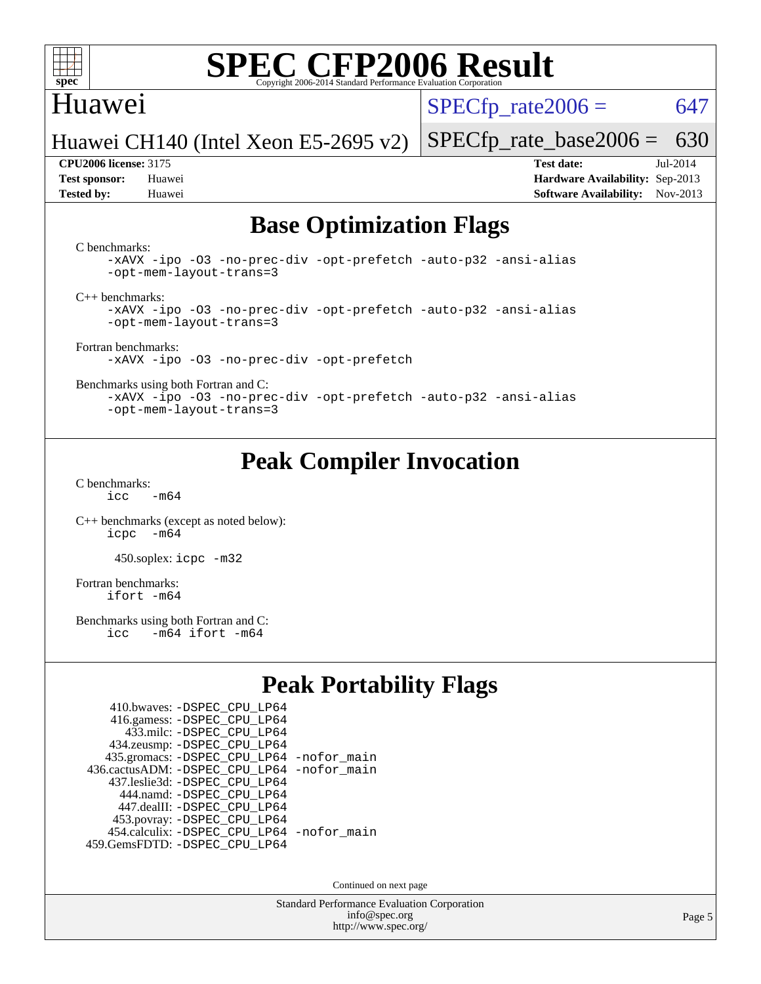

#### Huawei

 $SPECTp\_rate2006 = 647$ 

[SPECfp\\_rate\\_base2006 =](http://www.spec.org/auto/cpu2006/Docs/result-fields.html#SPECfpratebase2006) 630

Huawei CH140 (Intel Xeon E5-2695 v2)

**[CPU2006 license:](http://www.spec.org/auto/cpu2006/Docs/result-fields.html#CPU2006license)** 3175 **[Test date:](http://www.spec.org/auto/cpu2006/Docs/result-fields.html#Testdate)** Jul-2014 **[Test sponsor:](http://www.spec.org/auto/cpu2006/Docs/result-fields.html#Testsponsor)** Huawei **[Hardware Availability:](http://www.spec.org/auto/cpu2006/Docs/result-fields.html#HardwareAvailability)** Sep-2013 **[Tested by:](http://www.spec.org/auto/cpu2006/Docs/result-fields.html#Testedby)** Huawei **[Software Availability:](http://www.spec.org/auto/cpu2006/Docs/result-fields.html#SoftwareAvailability)** Nov-2013

## **[Base Optimization Flags](http://www.spec.org/auto/cpu2006/Docs/result-fields.html#BaseOptimizationFlags)**

[C benchmarks](http://www.spec.org/auto/cpu2006/Docs/result-fields.html#Cbenchmarks):

[-xAVX](http://www.spec.org/cpu2006/results/res2014q3/cpu2006-20140729-30678.flags.html#user_CCbase_f-xAVX) [-ipo](http://www.spec.org/cpu2006/results/res2014q3/cpu2006-20140729-30678.flags.html#user_CCbase_f-ipo) [-O3](http://www.spec.org/cpu2006/results/res2014q3/cpu2006-20140729-30678.flags.html#user_CCbase_f-O3) [-no-prec-div](http://www.spec.org/cpu2006/results/res2014q3/cpu2006-20140729-30678.flags.html#user_CCbase_f-no-prec-div) [-opt-prefetch](http://www.spec.org/cpu2006/results/res2014q3/cpu2006-20140729-30678.flags.html#user_CCbase_f-opt-prefetch) [-auto-p32](http://www.spec.org/cpu2006/results/res2014q3/cpu2006-20140729-30678.flags.html#user_CCbase_f-auto-p32) [-ansi-alias](http://www.spec.org/cpu2006/results/res2014q3/cpu2006-20140729-30678.flags.html#user_CCbase_f-ansi-alias) [-opt-mem-layout-trans=3](http://www.spec.org/cpu2006/results/res2014q3/cpu2006-20140729-30678.flags.html#user_CCbase_f-opt-mem-layout-trans_a7b82ad4bd7abf52556d4961a2ae94d5)

[C++ benchmarks:](http://www.spec.org/auto/cpu2006/Docs/result-fields.html#CXXbenchmarks)

[-xAVX](http://www.spec.org/cpu2006/results/res2014q3/cpu2006-20140729-30678.flags.html#user_CXXbase_f-xAVX) [-ipo](http://www.spec.org/cpu2006/results/res2014q3/cpu2006-20140729-30678.flags.html#user_CXXbase_f-ipo) [-O3](http://www.spec.org/cpu2006/results/res2014q3/cpu2006-20140729-30678.flags.html#user_CXXbase_f-O3) [-no-prec-div](http://www.spec.org/cpu2006/results/res2014q3/cpu2006-20140729-30678.flags.html#user_CXXbase_f-no-prec-div) [-opt-prefetch](http://www.spec.org/cpu2006/results/res2014q3/cpu2006-20140729-30678.flags.html#user_CXXbase_f-opt-prefetch) [-auto-p32](http://www.spec.org/cpu2006/results/res2014q3/cpu2006-20140729-30678.flags.html#user_CXXbase_f-auto-p32) [-ansi-alias](http://www.spec.org/cpu2006/results/res2014q3/cpu2006-20140729-30678.flags.html#user_CXXbase_f-ansi-alias) [-opt-mem-layout-trans=3](http://www.spec.org/cpu2006/results/res2014q3/cpu2006-20140729-30678.flags.html#user_CXXbase_f-opt-mem-layout-trans_a7b82ad4bd7abf52556d4961a2ae94d5)

[Fortran benchmarks](http://www.spec.org/auto/cpu2006/Docs/result-fields.html#Fortranbenchmarks): [-xAVX](http://www.spec.org/cpu2006/results/res2014q3/cpu2006-20140729-30678.flags.html#user_FCbase_f-xAVX) [-ipo](http://www.spec.org/cpu2006/results/res2014q3/cpu2006-20140729-30678.flags.html#user_FCbase_f-ipo) [-O3](http://www.spec.org/cpu2006/results/res2014q3/cpu2006-20140729-30678.flags.html#user_FCbase_f-O3) [-no-prec-div](http://www.spec.org/cpu2006/results/res2014q3/cpu2006-20140729-30678.flags.html#user_FCbase_f-no-prec-div) [-opt-prefetch](http://www.spec.org/cpu2006/results/res2014q3/cpu2006-20140729-30678.flags.html#user_FCbase_f-opt-prefetch)

[Benchmarks using both Fortran and C](http://www.spec.org/auto/cpu2006/Docs/result-fields.html#BenchmarksusingbothFortranandC):

[-xAVX](http://www.spec.org/cpu2006/results/res2014q3/cpu2006-20140729-30678.flags.html#user_CC_FCbase_f-xAVX) [-ipo](http://www.spec.org/cpu2006/results/res2014q3/cpu2006-20140729-30678.flags.html#user_CC_FCbase_f-ipo) [-O3](http://www.spec.org/cpu2006/results/res2014q3/cpu2006-20140729-30678.flags.html#user_CC_FCbase_f-O3) [-no-prec-div](http://www.spec.org/cpu2006/results/res2014q3/cpu2006-20140729-30678.flags.html#user_CC_FCbase_f-no-prec-div) [-opt-prefetch](http://www.spec.org/cpu2006/results/res2014q3/cpu2006-20140729-30678.flags.html#user_CC_FCbase_f-opt-prefetch) [-auto-p32](http://www.spec.org/cpu2006/results/res2014q3/cpu2006-20140729-30678.flags.html#user_CC_FCbase_f-auto-p32) [-ansi-alias](http://www.spec.org/cpu2006/results/res2014q3/cpu2006-20140729-30678.flags.html#user_CC_FCbase_f-ansi-alias) [-opt-mem-layout-trans=3](http://www.spec.org/cpu2006/results/res2014q3/cpu2006-20140729-30678.flags.html#user_CC_FCbase_f-opt-mem-layout-trans_a7b82ad4bd7abf52556d4961a2ae94d5)

## **[Peak Compiler Invocation](http://www.spec.org/auto/cpu2006/Docs/result-fields.html#PeakCompilerInvocation)**

[C benchmarks](http://www.spec.org/auto/cpu2006/Docs/result-fields.html#Cbenchmarks):  $icc$   $-m64$ 

[C++ benchmarks \(except as noted below\):](http://www.spec.org/auto/cpu2006/Docs/result-fields.html#CXXbenchmarksexceptasnotedbelow) [icpc -m64](http://www.spec.org/cpu2006/results/res2014q3/cpu2006-20140729-30678.flags.html#user_CXXpeak_intel_icpc_64bit_bedb90c1146cab66620883ef4f41a67e)

450.soplex: [icpc -m32](http://www.spec.org/cpu2006/results/res2014q3/cpu2006-20140729-30678.flags.html#user_peakCXXLD450_soplex_intel_icpc_4e5a5ef1a53fd332b3c49e69c3330699)

[Fortran benchmarks](http://www.spec.org/auto/cpu2006/Docs/result-fields.html#Fortranbenchmarks): [ifort -m64](http://www.spec.org/cpu2006/results/res2014q3/cpu2006-20140729-30678.flags.html#user_FCpeak_intel_ifort_64bit_ee9d0fb25645d0210d97eb0527dcc06e)

[Benchmarks using both Fortran and C](http://www.spec.org/auto/cpu2006/Docs/result-fields.html#BenchmarksusingbothFortranandC):<br>icc -m64 ifort -m64  $-m64$  ifort  $-m64$ 

## **[Peak Portability Flags](http://www.spec.org/auto/cpu2006/Docs/result-fields.html#PeakPortabilityFlags)**

| 410.bwaves: - DSPEC_CPU_LP64                 |  |
|----------------------------------------------|--|
| 416.gamess: -DSPEC_CPU_LP64                  |  |
| 433.milc: - DSPEC_CPU LP64                   |  |
| 434.zeusmp: -DSPEC_CPU_LP64                  |  |
| 435.gromacs: -DSPEC_CPU_LP64 -nofor_main     |  |
| 436.cactusADM: - DSPEC CPU LP64 - nofor main |  |
| 437.leslie3d: -DSPEC CPU LP64                |  |
| 444.namd: - DSPEC CPU LP64                   |  |
| 447.dealII: -DSPEC CPU LP64                  |  |
| 453.povray: -DSPEC_CPU_LP64                  |  |
| 454.calculix: - DSPEC CPU LP64 - nofor main  |  |
| 459.GemsFDTD: - DSPEC_CPU_LP64               |  |

Continued on next page

Standard Performance Evaluation Corporation [info@spec.org](mailto:info@spec.org) <http://www.spec.org/>

Page 5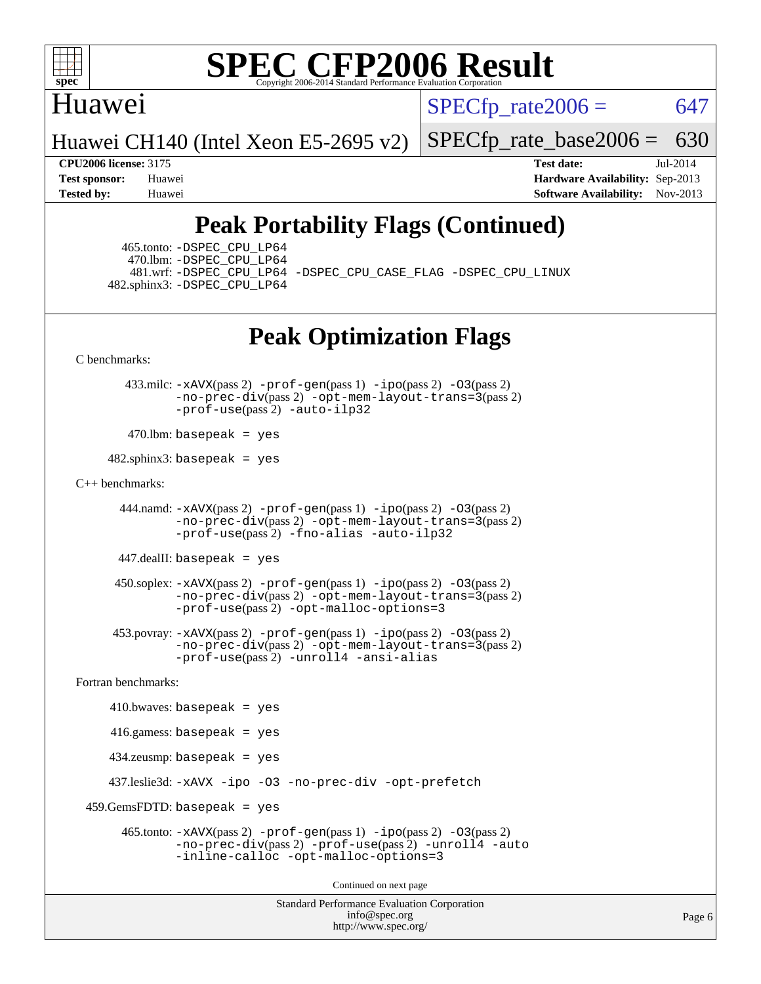

### Huawei

 $SPECTp\_rate2006 = 647$ 

Huawei CH140 (Intel Xeon E5-2695 v2)

[SPECfp\\_rate\\_base2006 =](http://www.spec.org/auto/cpu2006/Docs/result-fields.html#SPECfpratebase2006) 630

**[CPU2006 license:](http://www.spec.org/auto/cpu2006/Docs/result-fields.html#CPU2006license)** 3175 **[Test date:](http://www.spec.org/auto/cpu2006/Docs/result-fields.html#Testdate)** Jul-2014 **[Test sponsor:](http://www.spec.org/auto/cpu2006/Docs/result-fields.html#Testsponsor)** Huawei **[Hardware Availability:](http://www.spec.org/auto/cpu2006/Docs/result-fields.html#HardwareAvailability)** Sep-2013 **[Tested by:](http://www.spec.org/auto/cpu2006/Docs/result-fields.html#Testedby)** Huawei **[Software Availability:](http://www.spec.org/auto/cpu2006/Docs/result-fields.html#SoftwareAvailability)** Nov-2013

## **[Peak Portability Flags \(Continued\)](http://www.spec.org/auto/cpu2006/Docs/result-fields.html#PeakPortabilityFlags)**

 465.tonto: [-DSPEC\\_CPU\\_LP64](http://www.spec.org/cpu2006/results/res2014q3/cpu2006-20140729-30678.flags.html#suite_peakPORTABILITY465_tonto_DSPEC_CPU_LP64) 470.lbm: [-DSPEC\\_CPU\\_LP64](http://www.spec.org/cpu2006/results/res2014q3/cpu2006-20140729-30678.flags.html#suite_peakPORTABILITY470_lbm_DSPEC_CPU_LP64) 482.sphinx3: [-DSPEC\\_CPU\\_LP64](http://www.spec.org/cpu2006/results/res2014q3/cpu2006-20140729-30678.flags.html#suite_peakPORTABILITY482_sphinx3_DSPEC_CPU_LP64)

481.wrf: [-DSPEC\\_CPU\\_LP64](http://www.spec.org/cpu2006/results/res2014q3/cpu2006-20140729-30678.flags.html#suite_peakPORTABILITY481_wrf_DSPEC_CPU_LP64) [-DSPEC\\_CPU\\_CASE\\_FLAG](http://www.spec.org/cpu2006/results/res2014q3/cpu2006-20140729-30678.flags.html#b481.wrf_peakCPORTABILITY_DSPEC_CPU_CASE_FLAG) [-DSPEC\\_CPU\\_LINUX](http://www.spec.org/cpu2006/results/res2014q3/cpu2006-20140729-30678.flags.html#b481.wrf_peakCPORTABILITY_DSPEC_CPU_LINUX)

## **[Peak Optimization Flags](http://www.spec.org/auto/cpu2006/Docs/result-fields.html#PeakOptimizationFlags)**

[C benchmarks](http://www.spec.org/auto/cpu2006/Docs/result-fields.html#Cbenchmarks):

 433.milc: [-xAVX](http://www.spec.org/cpu2006/results/res2014q3/cpu2006-20140729-30678.flags.html#user_peakPASS2_CFLAGSPASS2_LDFLAGS433_milc_f-xAVX)(pass 2) [-prof-gen](http://www.spec.org/cpu2006/results/res2014q3/cpu2006-20140729-30678.flags.html#user_peakPASS1_CFLAGSPASS1_LDFLAGS433_milc_prof_gen_e43856698f6ca7b7e442dfd80e94a8fc)(pass 1) [-ipo](http://www.spec.org/cpu2006/results/res2014q3/cpu2006-20140729-30678.flags.html#user_peakPASS2_CFLAGSPASS2_LDFLAGS433_milc_f-ipo)(pass 2) [-O3](http://www.spec.org/cpu2006/results/res2014q3/cpu2006-20140729-30678.flags.html#user_peakPASS2_CFLAGSPASS2_LDFLAGS433_milc_f-O3)(pass 2) [-no-prec-div](http://www.spec.org/cpu2006/results/res2014q3/cpu2006-20140729-30678.flags.html#user_peakPASS2_CFLAGSPASS2_LDFLAGS433_milc_f-no-prec-div)(pass 2) [-opt-mem-layout-trans=3](http://www.spec.org/cpu2006/results/res2014q3/cpu2006-20140729-30678.flags.html#user_peakPASS2_CFLAGS433_milc_f-opt-mem-layout-trans_a7b82ad4bd7abf52556d4961a2ae94d5)(pass 2) [-prof-use](http://www.spec.org/cpu2006/results/res2014q3/cpu2006-20140729-30678.flags.html#user_peakPASS2_CFLAGSPASS2_LDFLAGS433_milc_prof_use_bccf7792157ff70d64e32fe3e1250b55)(pass 2) [-auto-ilp32](http://www.spec.org/cpu2006/results/res2014q3/cpu2006-20140729-30678.flags.html#user_peakCOPTIMIZE433_milc_f-auto-ilp32)

 $470$ .lbm: basepeak = yes

 $482$ .sphinx3: basepeak = yes

#### [C++ benchmarks:](http://www.spec.org/auto/cpu2006/Docs/result-fields.html#CXXbenchmarks)

 444.namd: [-xAVX](http://www.spec.org/cpu2006/results/res2014q3/cpu2006-20140729-30678.flags.html#user_peakPASS2_CXXFLAGSPASS2_LDFLAGS444_namd_f-xAVX)(pass 2) [-prof-gen](http://www.spec.org/cpu2006/results/res2014q3/cpu2006-20140729-30678.flags.html#user_peakPASS1_CXXFLAGSPASS1_LDFLAGS444_namd_prof_gen_e43856698f6ca7b7e442dfd80e94a8fc)(pass 1) [-ipo](http://www.spec.org/cpu2006/results/res2014q3/cpu2006-20140729-30678.flags.html#user_peakPASS2_CXXFLAGSPASS2_LDFLAGS444_namd_f-ipo)(pass 2) [-O3](http://www.spec.org/cpu2006/results/res2014q3/cpu2006-20140729-30678.flags.html#user_peakPASS2_CXXFLAGSPASS2_LDFLAGS444_namd_f-O3)(pass 2) [-no-prec-div](http://www.spec.org/cpu2006/results/res2014q3/cpu2006-20140729-30678.flags.html#user_peakPASS2_CXXFLAGSPASS2_LDFLAGS444_namd_f-no-prec-div)(pass 2) [-opt-mem-layout-trans=3](http://www.spec.org/cpu2006/results/res2014q3/cpu2006-20140729-30678.flags.html#user_peakPASS2_CXXFLAGS444_namd_f-opt-mem-layout-trans_a7b82ad4bd7abf52556d4961a2ae94d5)(pass 2) [-prof-use](http://www.spec.org/cpu2006/results/res2014q3/cpu2006-20140729-30678.flags.html#user_peakPASS2_CXXFLAGSPASS2_LDFLAGS444_namd_prof_use_bccf7792157ff70d64e32fe3e1250b55)(pass 2) [-fno-alias](http://www.spec.org/cpu2006/results/res2014q3/cpu2006-20140729-30678.flags.html#user_peakCXXOPTIMIZE444_namd_f-no-alias_694e77f6c5a51e658e82ccff53a9e63a) [-auto-ilp32](http://www.spec.org/cpu2006/results/res2014q3/cpu2006-20140729-30678.flags.html#user_peakCXXOPTIMIZE444_namd_f-auto-ilp32)

447.dealII: basepeak = yes

 $450$ .soplex:  $-x$ AVX(pass 2)  $-p$ rof-gen(pass 1)  $-i$ po(pass 2)  $-03$ (pass 2) [-no-prec-div](http://www.spec.org/cpu2006/results/res2014q3/cpu2006-20140729-30678.flags.html#user_peakPASS2_CXXFLAGSPASS2_LDFLAGS450_soplex_f-no-prec-div)(pass 2) [-opt-mem-layout-trans=3](http://www.spec.org/cpu2006/results/res2014q3/cpu2006-20140729-30678.flags.html#user_peakPASS2_CXXFLAGS450_soplex_f-opt-mem-layout-trans_a7b82ad4bd7abf52556d4961a2ae94d5)(pass 2) [-prof-use](http://www.spec.org/cpu2006/results/res2014q3/cpu2006-20140729-30678.flags.html#user_peakPASS2_CXXFLAGSPASS2_LDFLAGS450_soplex_prof_use_bccf7792157ff70d64e32fe3e1250b55)(pass 2) [-opt-malloc-options=3](http://www.spec.org/cpu2006/results/res2014q3/cpu2006-20140729-30678.flags.html#user_peakOPTIMIZE450_soplex_f-opt-malloc-options_13ab9b803cf986b4ee62f0a5998c2238)

 453.povray: [-xAVX](http://www.spec.org/cpu2006/results/res2014q3/cpu2006-20140729-30678.flags.html#user_peakPASS2_CXXFLAGSPASS2_LDFLAGS453_povray_f-xAVX)(pass 2) [-prof-gen](http://www.spec.org/cpu2006/results/res2014q3/cpu2006-20140729-30678.flags.html#user_peakPASS1_CXXFLAGSPASS1_LDFLAGS453_povray_prof_gen_e43856698f6ca7b7e442dfd80e94a8fc)(pass 1) [-ipo](http://www.spec.org/cpu2006/results/res2014q3/cpu2006-20140729-30678.flags.html#user_peakPASS2_CXXFLAGSPASS2_LDFLAGS453_povray_f-ipo)(pass 2) [-O3](http://www.spec.org/cpu2006/results/res2014q3/cpu2006-20140729-30678.flags.html#user_peakPASS2_CXXFLAGSPASS2_LDFLAGS453_povray_f-O3)(pass 2) [-no-prec-div](http://www.spec.org/cpu2006/results/res2014q3/cpu2006-20140729-30678.flags.html#user_peakPASS2_CXXFLAGSPASS2_LDFLAGS453_povray_f-no-prec-div)(pass 2) [-opt-mem-layout-trans=3](http://www.spec.org/cpu2006/results/res2014q3/cpu2006-20140729-30678.flags.html#user_peakPASS2_CXXFLAGS453_povray_f-opt-mem-layout-trans_a7b82ad4bd7abf52556d4961a2ae94d5)(pass 2) [-prof-use](http://www.spec.org/cpu2006/results/res2014q3/cpu2006-20140729-30678.flags.html#user_peakPASS2_CXXFLAGSPASS2_LDFLAGS453_povray_prof_use_bccf7792157ff70d64e32fe3e1250b55)(pass 2) [-unroll4](http://www.spec.org/cpu2006/results/res2014q3/cpu2006-20140729-30678.flags.html#user_peakCXXOPTIMIZE453_povray_f-unroll_4e5e4ed65b7fd20bdcd365bec371b81f) [-ansi-alias](http://www.spec.org/cpu2006/results/res2014q3/cpu2006-20140729-30678.flags.html#user_peakCXXOPTIMIZE453_povray_f-ansi-alias)

[Fortran benchmarks](http://www.spec.org/auto/cpu2006/Docs/result-fields.html#Fortranbenchmarks):

```
410.bwaves: basepeak = yes 416.gamess: basepeak = yes
    434.zeusmp: basepeak = yes
    437.leslie3d: -xAVX -ipo -O3 -no-prec-div -opt-prefetch
459.GemsFDTD: basepeak = yes 465.tonto: -xAVX(pass 2) -prof-gen(pass 1) -ipo(pass 2) -O3(pass 2)
              -no-prec-div(pass 2) -prof-use(pass 2) -unroll4 -auto
              -inline-calloc -opt-malloc-options=3
                                      Continued on next page
```
Standard Performance Evaluation Corporation [info@spec.org](mailto:info@spec.org) <http://www.spec.org/>